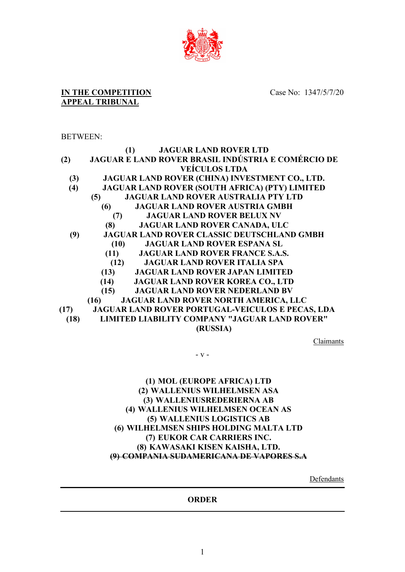

Case No: 1347/5/7/20

# **APPEAL TRIBUNAL**

**IN THE COMPETITION** 

# BETWEEN:

|      | <b>JAGUAR LAND ROVER LTD</b><br>(1)                   |
|------|-------------------------------------------------------|
| (2)  | JAGUAR E LAND ROVER BRASIL INDÚSTRIA E COMÉRCIO DE    |
|      | <b>VEÍCULOS LTDA</b>                                  |
| (3)  | JAGUAR LAND ROVER (CHINA) INVESTMENT CO., LTD.        |
| (4)  | <b>JAGUAR LAND ROVER (SOUTH AFRICA) (PTY) LIMITED</b> |
|      | <b>JAGUAR LAND ROVER AUSTRALIA PTY LTD</b><br>(5)     |
|      | <b>JAGUAR LAND ROVER AUSTRIA GMBH</b><br>(6)          |
|      | <b>JAGUAR LAND ROVER BELUX NV</b><br>(7)              |
|      | <b>JAGUAR LAND ROVER CANADA, ULC</b><br>(8)           |
| (9)  | <b>JAGUAR LAND ROVER CLASSIC DEUTSCHLAND GMBH</b>     |
|      | <b>JAGUAR LAND ROVER ESPANA SL</b><br>(10)            |
|      | (11)<br><b>JAGUAR LAND ROVER FRANCE S.A.S.</b>        |
|      | <b>JAGUAR LAND ROVER ITALIA SPA</b><br>(12)           |
|      | (13)<br><b>JAGUAR LAND ROVER JAPAN LIMITED</b>        |
|      | (14)<br><b>JAGUAR LAND ROVER KOREA CO., LTD</b>       |
|      | <b>JAGUAR LAND ROVER NEDERLAND BV</b><br>(15)         |
|      | JAGUAR LAND ROVER NORTH AMERICA, LLC<br>(16)          |
| (17) | JAGUAR LAND ROVER PORTUGAL-VEICULOS E PECAS, LDA      |
| (18) | <b>LIMITED LIABILITY COMPANY "JAGUAR LAND ROVER"</b>  |
|      | (RUSSIA)                                              |
|      |                                                       |

Claimants

- v -

# **(1) MOL (EUROPE AFRICA) LTD (2) WALLENIUS WILHELMSEN ASA (3) WALLENIUSREDERIERNA AB (4) WALLENIUS WILHELMSEN OCEAN AS (5) WALLENIUS LOGISTICS AB (6) WILHELMSEN SHIPS HOLDING MALTA LTD (7) EUKOR CAR CARRIERS INC. (8) KAWASAKI KISEN KAISHA, LTD. (9) COMPANIA SUDAMERICANA DE VAPORES S.A**

**Defendants** 

#### **ORDER**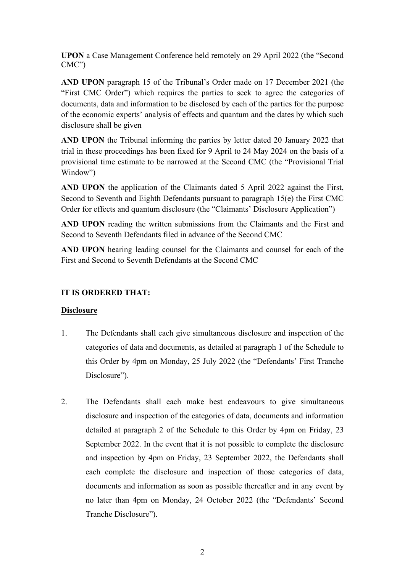**UPON** a Case Management Conference held remotely on 29 April 2022 (the "Second CMC")

**AND UPON** paragraph 15 of the Tribunal's Order made on 17 December 2021 (the "First CMC Order") which requires the parties to seek to agree the categories of documents, data and information to be disclosed by each of the parties for the purpose of the economic experts' analysis of effects and quantum and the dates by which such disclosure shall be given

**AND UPON** the Tribunal informing the parties by letter dated 20 January 2022 that trial in these proceedings has been fixed for 9 April to 24 May 2024 on the basis of a provisional time estimate to be narrowed at the Second CMC (the "Provisional Trial Window")

**AND UPON** the application of the Claimants dated 5 April 2022 against the First, Second to Seventh and Eighth Defendants pursuant to paragraph 15(e) the First CMC Order for effects and quantum disclosure (the "Claimants' Disclosure Application")

**AND UPON** reading the written submissions from the Claimants and the First and Second to Seventh Defendants filed in advance of the Second CMC

**AND UPON** hearing leading counsel for the Claimants and counsel for each of the First and Second to Seventh Defendants at the Second CMC

## **IT IS ORDERED THAT:**

#### **Disclosure**

- 1. The Defendants shall each give simultaneous disclosure and inspection of the categories of data and documents, as detailed at paragraph 1 of the Schedule to this Order by 4pm on Monday, 25 July 2022 (the "Defendants' First Tranche Disclosure").
- 2. The Defendants shall each make best endeavours to give simultaneous disclosure and inspection of the categories of data, documents and information detailed at paragraph 2 of the Schedule to this Order by 4pm on Friday, 23 September 2022. In the event that it is not possible to complete the disclosure and inspection by 4pm on Friday, 23 September 2022, the Defendants shall each complete the disclosure and inspection of those categories of data, documents and information as soon as possible thereafter and in any event by no later than 4pm on Monday, 24 October 2022 (the "Defendants' Second Tranche Disclosure").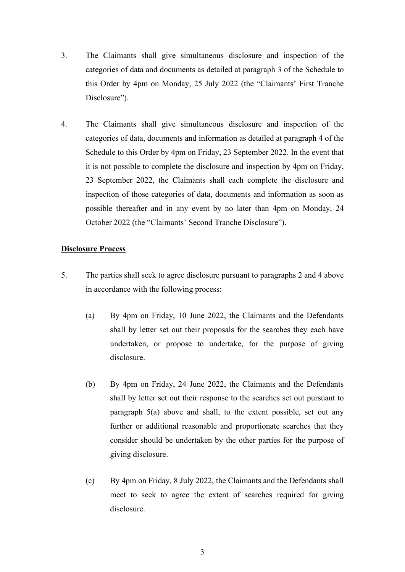- 3. The Claimants shall give simultaneous disclosure and inspection of the categories of data and documents as detailed at paragraph 3 of the Schedule to this Order by 4pm on Monday, 25 July 2022 (the "Claimants' First Tranche Disclosure").
- 4. The Claimants shall give simultaneous disclosure and inspection of the categories of data, documents and information as detailed at paragraph 4 of the Schedule to this Order by 4pm on Friday, 23 September 2022. In the event that it is not possible to complete the disclosure and inspection by 4pm on Friday, 23 September 2022, the Claimants shall each complete the disclosure and inspection of those categories of data, documents and information as soon as possible thereafter and in any event by no later than 4pm on Monday, 24 October 2022 (the "Claimants' Second Tranche Disclosure").

#### **Disclosure Process**

- 5. The parties shall seek to agree disclosure pursuant to paragraphs 2 and 4 above in accordance with the following process:
	- (a) By 4pm on Friday, 10 June 2022, the Claimants and the Defendants shall by letter set out their proposals for the searches they each have undertaken, or propose to undertake, for the purpose of giving disclosure.
	- (b) By 4pm on Friday, 24 June 2022, the Claimants and the Defendants shall by letter set out their response to the searches set out pursuant to paragraph 5(a) above and shall, to the extent possible, set out any further or additional reasonable and proportionate searches that they consider should be undertaken by the other parties for the purpose of giving disclosure.
	- (c) By 4pm on Friday, 8 July 2022, the Claimants and the Defendants shall meet to seek to agree the extent of searches required for giving disclosure.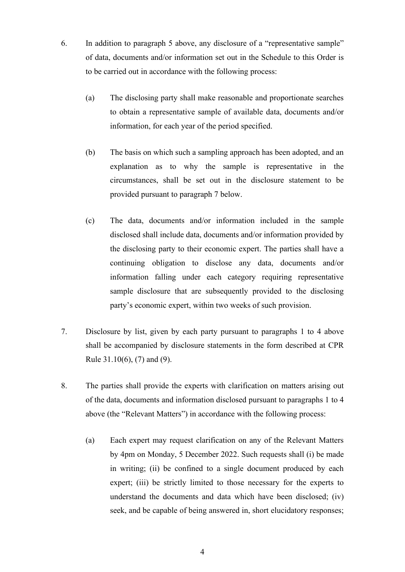- 6. In addition to paragraph 5 above, any disclosure of a "representative sample" of data, documents and/or information set out in the Schedule to this Order is to be carried out in accordance with the following process:
	- (a) The disclosing party shall make reasonable and proportionate searches to obtain a representative sample of available data, documents and/or information, for each year of the period specified.
	- (b) The basis on which such a sampling approach has been adopted, and an explanation as to why the sample is representative in the circumstances, shall be set out in the disclosure statement to be provided pursuant to paragraph 7 below.
	- (c) The data, documents and/or information included in the sample disclosed shall include data, documents and/or information provided by the disclosing party to their economic expert. The parties shall have a continuing obligation to disclose any data, documents and/or information falling under each category requiring representative sample disclosure that are subsequently provided to the disclosing party's economic expert, within two weeks of such provision.
- 7. Disclosure by list, given by each party pursuant to paragraphs 1 to 4 above shall be accompanied by disclosure statements in the form described at CPR Rule 31.10(6), (7) and (9).
- 8. The parties shall provide the experts with clarification on matters arising out of the data, documents and information disclosed pursuant to paragraphs 1 to 4 above (the "Relevant Matters") in accordance with the following process:
	- (a) Each expert may request clarification on any of the Relevant Matters by 4pm on Monday, 5 December 2022. Such requests shall (i) be made in writing; (ii) be confined to a single document produced by each expert; (iii) be strictly limited to those necessary for the experts to understand the documents and data which have been disclosed; (iv) seek, and be capable of being answered in, short elucidatory responses;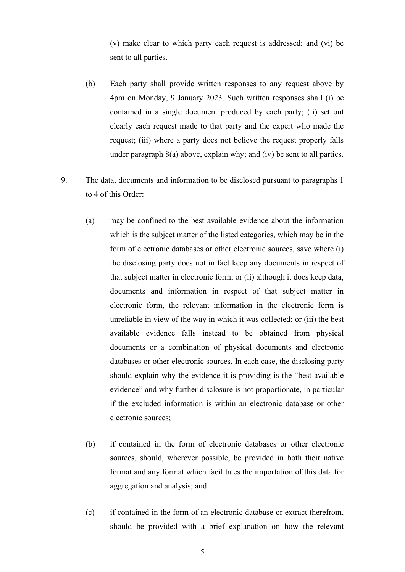(v) make clear to which party each request is addressed; and (vi) be sent to all parties.

- (b) Each party shall provide written responses to any request above by 4pm on Monday, 9 January 2023. Such written responses shall (i) be contained in a single document produced by each party; (ii) set out clearly each request made to that party and the expert who made the request; (iii) where a party does not believe the request properly falls under paragraph 8(a) above, explain why; and (iv) be sent to all parties.
- 9. The data, documents and information to be disclosed pursuant to paragraphs 1 to 4 of this Order:
	- (a) may be confined to the best available evidence about the information which is the subject matter of the listed categories, which may be in the form of electronic databases or other electronic sources, save where (i) the disclosing party does not in fact keep any documents in respect of that subject matter in electronic form; or (ii) although it does keep data, documents and information in respect of that subject matter in electronic form, the relevant information in the electronic form is unreliable in view of the way in which it was collected; or (iii) the best available evidence falls instead to be obtained from physical documents or a combination of physical documents and electronic databases or other electronic sources. In each case, the disclosing party should explain why the evidence it is providing is the "best available evidence" and why further disclosure is not proportionate, in particular if the excluded information is within an electronic database or other electronic sources;
	- (b) if contained in the form of electronic databases or other electronic sources, should, wherever possible, be provided in both their native format and any format which facilitates the importation of this data for aggregation and analysis; and
	- (c) if contained in the form of an electronic database or extract therefrom, should be provided with a brief explanation on how the relevant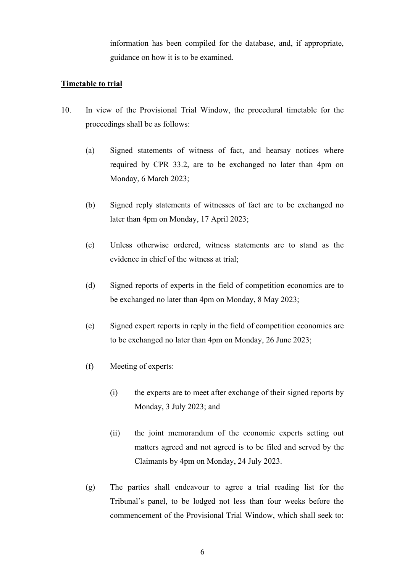information has been compiled for the database, and, if appropriate, guidance on how it is to be examined.

### **Timetable to trial**

- 10. In view of the Provisional Trial Window, the procedural timetable for the proceedings shall be as follows:
	- (a) Signed statements of witness of fact, and hearsay notices where required by CPR 33.2, are to be exchanged no later than 4pm on Monday, 6 March 2023;
	- (b) Signed reply statements of witnesses of fact are to be exchanged no later than 4pm on Monday, 17 April 2023;
	- (c) Unless otherwise ordered, witness statements are to stand as the evidence in chief of the witness at trial;
	- (d) Signed reports of experts in the field of competition economics are to be exchanged no later than 4pm on Monday, 8 May 2023;
	- (e) Signed expert reports in reply in the field of competition economics are to be exchanged no later than 4pm on Monday, 26 June 2023;
	- (f) Meeting of experts:
		- (i) the experts are to meet after exchange of their signed reports by Monday, 3 July 2023; and
		- (ii) the joint memorandum of the economic experts setting out matters agreed and not agreed is to be filed and served by the Claimants by 4pm on Monday, 24 July 2023.
	- (g) The parties shall endeavour to agree a trial reading list for the Tribunal's panel, to be lodged not less than four weeks before the commencement of the Provisional Trial Window, which shall seek to: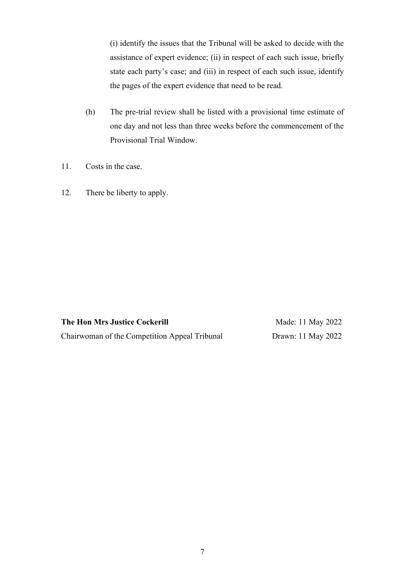(i) identify the issues that the Tribunal will be asked to decide with the assistance of expert evidence; (ii) in respect of each such issue, briefly state each party's case; and (iii) in respect of each such issue, identify the pages of the expert evidence that need to be read.

- (h) The pre-trial review shall be listed with a provisional time estimate of one day and not less than three weeks before the commencement of the Provisional Trial Window.
- 11. Costs in the case.
- 12. There be liberty to apply.

**The Hon Mrs Justice Cockerill**  Chairwoman of the Competition Appeal Tribunal

Made: 11 May 2022 Drawn: 11 May 2022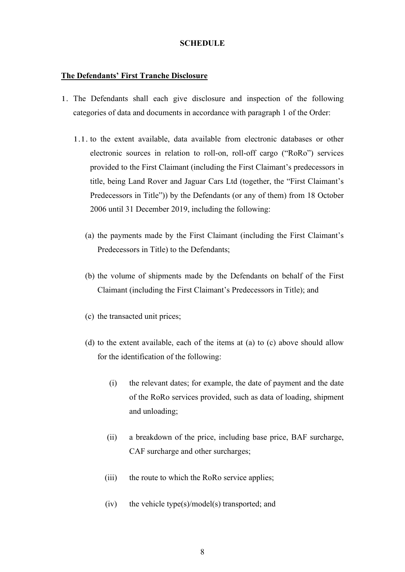#### **SCHEDULE**

#### **The Defendants' First Tranche Disclosure**

- 1. The Defendants shall each give disclosure and inspection of the following categories of data and documents in accordance with paragraph 1 of the Order:
	- 1.1. to the extent available, data available from electronic databases or other electronic sources in relation to roll-on, roll-off cargo ("RoRo") services provided to the First Claimant (including the First Claimant's predecessors in title, being Land Rover and Jaguar Cars Ltd (together, the "First Claimant's Predecessors in Title")) by the Defendants (or any of them) from 18 October 2006 until 31 December 2019, including the following:
		- (a) the payments made by the First Claimant (including the First Claimant's Predecessors in Title) to the Defendants;
		- (b) the volume of shipments made by the Defendants on behalf of the First Claimant (including the First Claimant's Predecessors in Title); and
		- (c) the transacted unit prices;
		- (d) to the extent available, each of the items at (a) to (c) above should allow for the identification of the following:
			- (i) the relevant dates; for example, the date of payment and the date of the RoRo services provided, such as data of loading, shipment and unloading;
			- (ii) a breakdown of the price, including base price, BAF surcharge, CAF surcharge and other surcharges;
			- (iii) the route to which the RoRo service applies;
			- $(iv)$  the vehicle type $(s)/model(s)$  transported; and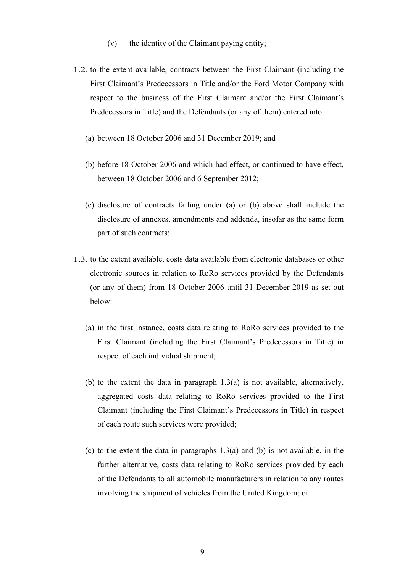- (v) the identity of the Claimant paying entity;
- 1.2. to the extent available, contracts between the First Claimant (including the First Claimant's Predecessors in Title and/or the Ford Motor Company with respect to the business of the First Claimant and/or the First Claimant's Predecessors in Title) and the Defendants (or any of them) entered into:
	- (a) between 18 October 2006 and 31 December 2019; and
	- (b) before 18 October 2006 and which had effect, or continued to have effect, between 18 October 2006 and 6 September 2012;
	- (c) disclosure of contracts falling under (a) or (b) above shall include the disclosure of annexes, amendments and addenda, insofar as the same form part of such contracts;
- 1.3. to the extent available, costs data available from electronic databases or other electronic sources in relation to RoRo services provided by the Defendants (or any of them) from 18 October 2006 until 31 December 2019 as set out below:
	- (a) in the first instance, costs data relating to RoRo services provided to the First Claimant (including the First Claimant's Predecessors in Title) in respect of each individual shipment;
	- (b) to the extent the data in paragraph  $1.3(a)$  is not available, alternatively, aggregated costs data relating to RoRo services provided to the First Claimant (including the First Claimant's Predecessors in Title) in respect of each route such services were provided;
	- (c) to the extent the data in paragraphs  $1.3(a)$  and (b) is not available, in the further alternative, costs data relating to RoRo services provided by each of the Defendants to all automobile manufacturers in relation to any routes involving the shipment of vehicles from the United Kingdom; or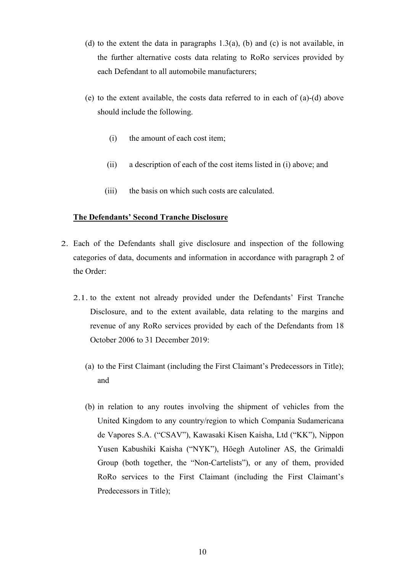- (d) to the extent the data in paragraphs  $1.3(a)$ , (b) and (c) is not available, in the further alternative costs data relating to RoRo services provided by each Defendant to all automobile manufacturers;
- (e) to the extent available, the costs data referred to in each of (a)-(d) above should include the following.
	- (i) the amount of each cost item;
	- (ii) a description of each of the cost items listed in (i) above; and
	- (iii) the basis on which such costs are calculated.

#### **The Defendants' Second Tranche Disclosure**

- 2. Each of the Defendants shall give disclosure and inspection of the following categories of data, documents and information in accordance with paragraph 2 of the Order:
	- 2.1. to the extent not already provided under the Defendants' First Tranche Disclosure, and to the extent available, data relating to the margins and revenue of any RoRo services provided by each of the Defendants from 18 October 2006 to 31 December 2019:
		- (a) to the First Claimant (including the First Claimant's Predecessors in Title); and
		- (b) in relation to any routes involving the shipment of vehicles from the United Kingdom to any country/region to which Compania Sudamericana de Vapores S.A. ("CSAV"), Kawasaki Kisen Kaisha, Ltd ("KK"), Nippon Yusen Kabushiki Kaisha ("NYK"), Höegh Autoliner AS, the Grimaldi Group (both together, the "Non-Cartelists"), or any of them, provided RoRo services to the First Claimant (including the First Claimant's Predecessors in Title);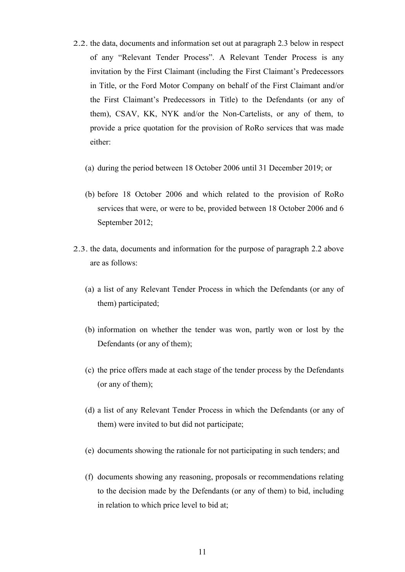- 2.2. the data, documents and information set out at paragraph 2.3 below in respect of any "Relevant Tender Process". A Relevant Tender Process is any invitation by the First Claimant (including the First Claimant's Predecessors in Title, or the Ford Motor Company on behalf of the First Claimant and/or the First Claimant's Predecessors in Title) to the Defendants (or any of them), CSAV, KK, NYK and/or the Non-Cartelists, or any of them, to provide a price quotation for the provision of RoRo services that was made either:
	- (a) during the period between 18 October 2006 until 31 December 2019; or
	- (b) before 18 October 2006 and which related to the provision of RoRo services that were, or were to be, provided between 18 October 2006 and 6 September 2012;
- 2.3. the data, documents and information for the purpose of paragraph 2.2 above are as follows:
	- (a) a list of any Relevant Tender Process in which the Defendants (or any of them) participated;
	- (b) information on whether the tender was won, partly won or lost by the Defendants (or any of them);
	- (c) the price offers made at each stage of the tender process by the Defendants (or any of them);
	- (d) a list of any Relevant Tender Process in which the Defendants (or any of them) were invited to but did not participate;
	- (e) documents showing the rationale for not participating in such tenders; and
	- (f) documents showing any reasoning, proposals or recommendations relating to the decision made by the Defendants (or any of them) to bid, including in relation to which price level to bid at;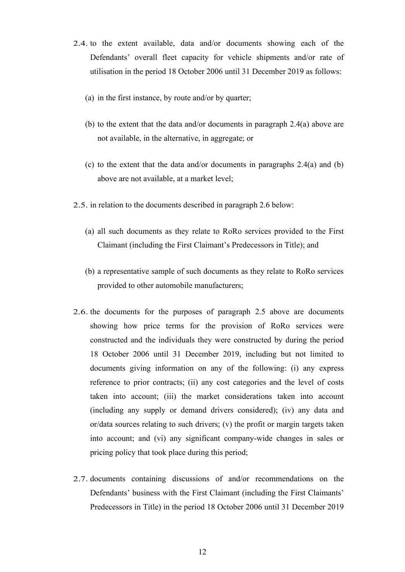- 2.4. to the extent available, data and/or documents showing each of the Defendants' overall fleet capacity for vehicle shipments and/or rate of utilisation in the period 18 October 2006 until 31 December 2019 as follows:
	- (a) in the first instance, by route and/or by quarter;
	- (b) to the extent that the data and/or documents in paragraph 2.4(a) above are not available, in the alternative, in aggregate; or
	- (c) to the extent that the data and/or documents in paragraphs 2.4(a) and (b) above are not available, at a market level;
- 2.5. in relation to the documents described in paragraph 2.6 below:
	- (a) all such documents as they relate to RoRo services provided to the First Claimant (including the First Claimant's Predecessors in Title); and
	- (b) a representative sample of such documents as they relate to RoRo services provided to other automobile manufacturers;
- 2.6. the documents for the purposes of paragraph 2.5 above are documents showing how price terms for the provision of RoRo services were constructed and the individuals they were constructed by during the period 18 October 2006 until 31 December 2019, including but not limited to documents giving information on any of the following: (i) any express reference to prior contracts; (ii) any cost categories and the level of costs taken into account; (iii) the market considerations taken into account (including any supply or demand drivers considered); (iv) any data and or/data sources relating to such drivers; (v) the profit or margin targets taken into account; and (vi) any significant company-wide changes in sales or pricing policy that took place during this period;
- 2.7. documents containing discussions of and/or recommendations on the Defendants' business with the First Claimant (including the First Claimants' Predecessors in Title) in the period 18 October 2006 until 31 December 2019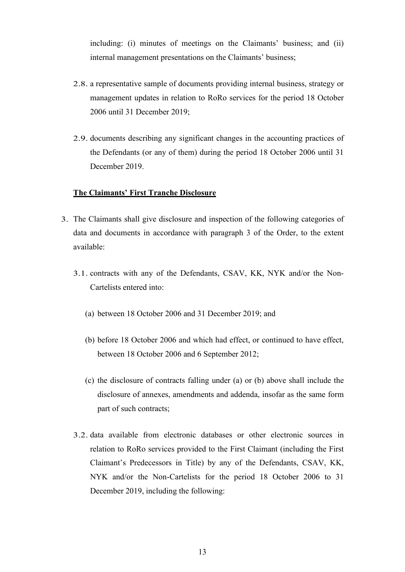including: (i) minutes of meetings on the Claimants' business; and (ii) internal management presentations on the Claimants' business;

- 2.8. a representative sample of documents providing internal business, strategy or management updates in relation to RoRo services for the period 18 October 2006 until 31 December 2019;
- 2.9. documents describing any significant changes in the accounting practices of the Defendants (or any of them) during the period 18 October 2006 until 31 December 2019.

#### **The Claimants' First Tranche Disclosure**

- 3. The Claimants shall give disclosure and inspection of the following categories of data and documents in accordance with paragraph 3 of the Order, to the extent available:
	- 3.1. contracts with any of the Defendants, CSAV, KK, NYK and/or the Non-Cartelists entered into:
		- (a) between 18 October 2006 and 31 December 2019; and
		- (b) before 18 October 2006 and which had effect, or continued to have effect, between 18 October 2006 and 6 September 2012;
		- (c) the disclosure of contracts falling under (a) or (b) above shall include the disclosure of annexes, amendments and addenda, insofar as the same form part of such contracts;
	- 3.2. data available from electronic databases or other electronic sources in relation to RoRo services provided to the First Claimant (including the First Claimant's Predecessors in Title) by any of the Defendants, CSAV, KK, NYK and/or the Non-Cartelists for the period 18 October 2006 to 31 December 2019, including the following: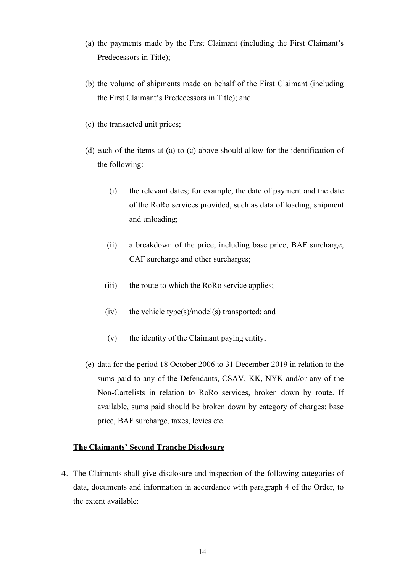- (a) the payments made by the First Claimant (including the First Claimant's Predecessors in Title);
- (b) the volume of shipments made on behalf of the First Claimant (including the First Claimant's Predecessors in Title); and
- (c) the transacted unit prices;
- (d) each of the items at (a) to (c) above should allow for the identification of the following:
	- (i) the relevant dates; for example, the date of payment and the date of the RoRo services provided, such as data of loading, shipment and unloading;
	- (ii) a breakdown of the price, including base price, BAF surcharge, CAF surcharge and other surcharges;
	- (iii) the route to which the RoRo service applies;
	- $(iv)$  the vehicle type(s)/model(s) transported; and
	- (v) the identity of the Claimant paying entity;
- (e) data for the period 18 October 2006 to 31 December 2019 in relation to the sums paid to any of the Defendants, CSAV, KK, NYK and/or any of the Non-Cartelists in relation to RoRo services, broken down by route. If available, sums paid should be broken down by category of charges: base price, BAF surcharge, taxes, levies etc.

#### **The Claimants' Second Tranche Disclosure**

4. The Claimants shall give disclosure and inspection of the following categories of data, documents and information in accordance with paragraph 4 of the Order, to the extent available: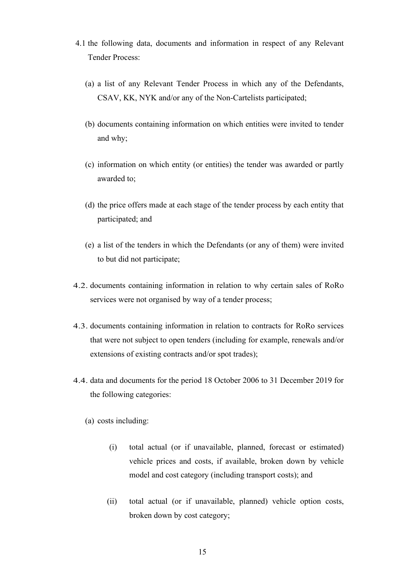- 4.1 the following data, documents and information in respect of any Relevant Tender Process:
	- (a) a list of any Relevant Tender Process in which any of the Defendants, CSAV, KK, NYK and/or any of the Non-Cartelists participated;
	- (b) documents containing information on which entities were invited to tender and why;
	- (c) information on which entity (or entities) the tender was awarded or partly awarded to;
	- (d) the price offers made at each stage of the tender process by each entity that participated; and
	- (e) a list of the tenders in which the Defendants (or any of them) were invited to but did not participate;
- 4.2. documents containing information in relation to why certain sales of RoRo services were not organised by way of a tender process;
- 4.3. documents containing information in relation to contracts for RoRo services that were not subject to open tenders (including for example, renewals and/or extensions of existing contracts and/or spot trades);
- 4.4. data and documents for the period 18 October 2006 to 31 December 2019 for the following categories:
	- (a) costs including:
		- (i) total actual (or if unavailable, planned, forecast or estimated) vehicle prices and costs, if available, broken down by vehicle model and cost category (including transport costs); and
		- (ii) total actual (or if unavailable, planned) vehicle option costs, broken down by cost category;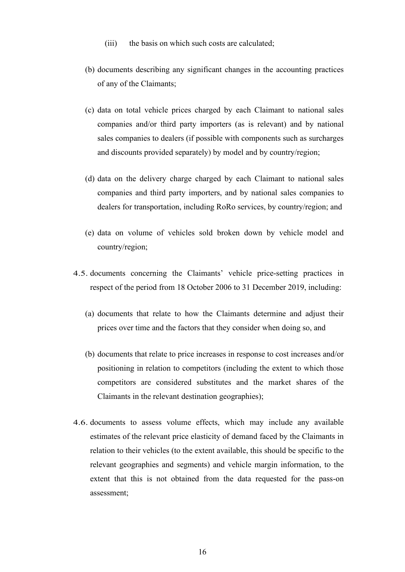- (iii) the basis on which such costs are calculated;
- (b) documents describing any significant changes in the accounting practices of any of the Claimants;
- (c) data on total vehicle prices charged by each Claimant to national sales companies and/or third party importers (as is relevant) and by national sales companies to dealers (if possible with components such as surcharges and discounts provided separately) by model and by country/region;
- (d) data on the delivery charge charged by each Claimant to national sales companies and third party importers, and by national sales companies to dealers for transportation, including RoRo services, by country/region; and
- (e) data on volume of vehicles sold broken down by vehicle model and country/region;
- 4.5. documents concerning the Claimants' vehicle price-setting practices in respect of the period from 18 October 2006 to 31 December 2019, including:
	- (a) documents that relate to how the Claimants determine and adjust their prices over time and the factors that they consider when doing so, and
	- (b) documents that relate to price increases in response to cost increases and/or positioning in relation to competitors (including the extent to which those competitors are considered substitutes and the market shares of the Claimants in the relevant destination geographies);
- 4.6. documents to assess volume effects, which may include any available estimates of the relevant price elasticity of demand faced by the Claimants in relation to their vehicles (to the extent available, this should be specific to the relevant geographies and segments) and vehicle margin information, to the extent that this is not obtained from the data requested for the pass-on assessment;